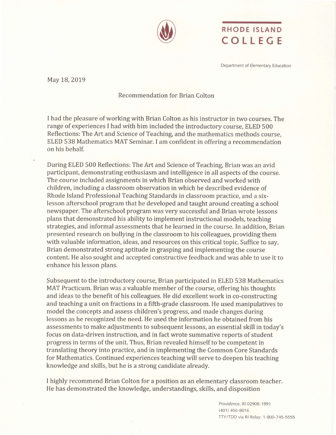

## RHODE ISLAND COLLEGE

Department of Elementary Education

May 18, 2019

## Recommendation for Brian Colton

I had the pleasure of working with Brian Colton as his instructor in two courses. The range of experiences I had with him included the introductory course, ELED 500 Reflections: The Art and Science of Teaching, and the mathematics methods course, ELED 538 Mathematics MAT Seminar. I am confident in offering a recommendation on his behalf.

During ELED 500 Reflections: The Art and Science of Teaching, Brian was an avid participant, demonstrating enthusiasm and intelligence in all aspects of the course. The course included assignments in which Brian observed and worked with children, including a classroom observation in which he described evidence of Rhode Island Professional Teaching Standards in classroom practice, and a sixlesson afterschool program that he developed and taught around creating a school newspaper. The afterschool program was very successful and Brian wrote lessons plans that demonstrated his ability to implement instructional models, teaching strategies, and informal assessments that he learned in the course. In addition, Brian presented research on bullying in the classroom to his colleagues, providing them with valuable information, ideas, and resources on this critical topic. Suffice to say, Brian demonstrated strong aptitude in grasping and implementing the course content. He also sought and accepted constructive feedback and was able to use it to enhance his lesson plans.

Subsequent to the introductory course, Brian participated in ELED 538 Mathematics MAT Practicum. Brian was a valuable member of the course, offering his thoughts and ideas to the benefit of his colleagues. He did excellent work in co-constructing and teaching a unit on fractions in a fifth-grade classroom. He used manipulatives to model the concepts and assess children's progress, and made changes during lessons as he recognized the need. He used the information he obtained from his assessments to make adjustments to subsequent lessons, an essential skill in today's focus on data-driven instruction, and in fact wrote summative reports of student progress in terms of the unit. Thus, Brian revealed himself to be competent in translating theory into practice, and in implementing the Common Core Standards for Mathematics. Continued experiences teaching will serve to deepen his teaching knowledge and skills, but he is a strong candidate already.

I highly recommend Brian Colton for a position as an elementary classroom teacher. He has demonstrated the knowledge, understandings, skills, and disposition

> Providence, RI 02908-1991 (4O1) 456-8016 TTY/TDD via Rl Relay: 1-800-745-5555